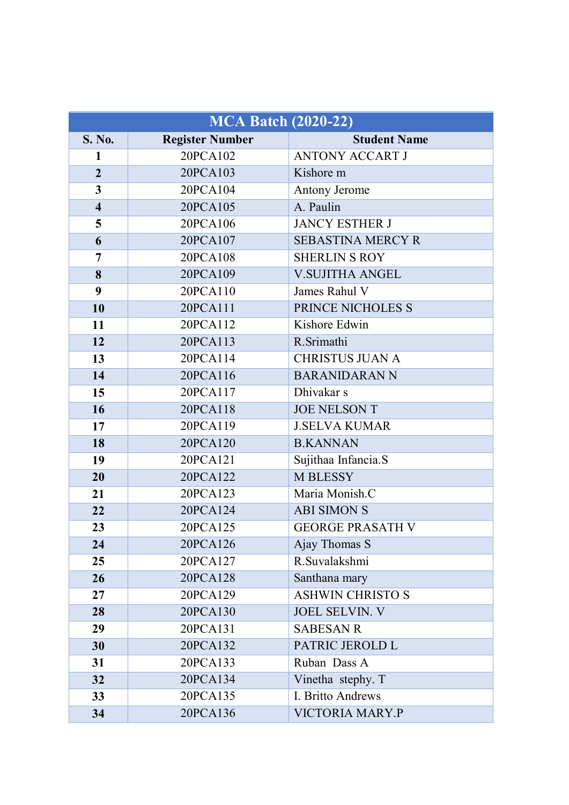| <b>MCA Batch (2020-22)</b> |                        |                          |
|----------------------------|------------------------|--------------------------|
| S. No.                     | <b>Register Number</b> | <b>Student Name</b>      |
| 1                          | 20PCA102               | <b>ANTONY ACCART J</b>   |
| $\overline{2}$             | 20PCA103               | Kishore m                |
| $\overline{\mathbf{3}}$    | 20PCA104               | Antony Jerome            |
| $\overline{\mathbf{4}}$    | 20PCA105               | A. Paulin                |
| 5                          | 20PCA106               | <b>JANCY ESTHER J</b>    |
| 6                          | 20PCA107               | <b>SEBASTINA MERCY R</b> |
| $\overline{7}$             | 20PCA108               | <b>SHERLIN S ROY</b>     |
| 8                          | 20PCA109               | <b>V.SUJITHA ANGEL</b>   |
| 9                          | 20PCA110               | James Rahul V            |
| 10                         | 20PCA111               | PRINCE NICHOLES S        |
| 11                         | 20PCA112               | Kishore Edwin            |
| 12                         | 20PCA113               | R.Srimathi               |
| 13                         | 20PCA114               | <b>CHRISTUS JUAN A</b>   |
| 14                         | 20PCA116               | <b>BARANIDARAN N</b>     |
| 15                         | 20PCA117               | Dhivakar s               |
| 16                         | 20PCA118               | <b>JOE NELSON T</b>      |
| 17                         | 20PCA119               | <b>J.SELVA KUMAR</b>     |
| 18                         | 20PCA120               | <b>B.KANNAN</b>          |
| 19                         | 20PCA121               | Sujithaa Infancia.S      |
| 20                         | 20PCA122               | M BLESSY                 |
| 21                         | 20PCA123               | Maria Monish.C           |
| 22                         | 20PCA124               | <b>ABI SIMON S</b>       |
| 23                         | 20PCA125               | <b>GEORGE PRASATH V</b>  |
| 24                         | 20PCA126               | Ajay Thomas S            |
| 25                         | 20PCA127               | R.Suvalakshmi            |
| 26                         | 20PCA128               | Santhana mary            |
| 27                         | 20PCA129               | <b>ASHWIN CHRISTO S</b>  |
| 28                         | 20PCA130               | <b>JOEL SELVIN. V</b>    |
| 29                         | 20PCA131               | <b>SABESAN R</b>         |
| 30                         | 20PCA132               | PATRIC JEROLD L          |
| 31                         | 20PCA133               | Ruban Dass A             |
| 32                         | 20PCA134               | Vinetha stephy. T        |
| 33                         | 20PCA135               | I. Britto Andrews        |
| 34                         | 20PCA136               | VICTORIA MARY.P          |